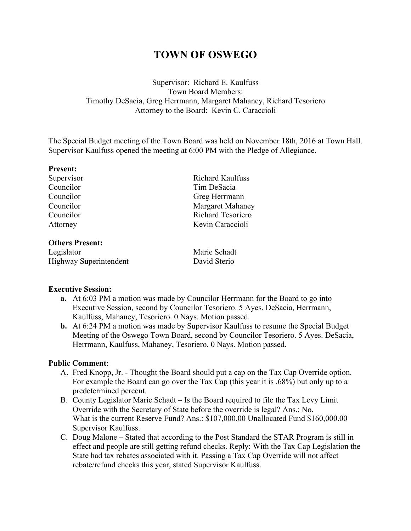# **TOWN OF OSWEGO**

Supervisor: Richard E. Kaulfuss Town Board Members: Timothy DeSacia, Greg Herrmann, Margaret Mahaney, Richard Tesoriero Attorney to the Board: Kevin C. Caraccioli

The Special Budget meeting of the Town Board was held on November 18th, 2016 at Town Hall. Supervisor Kaulfuss opened the meeting at 6:00 PM with the Pledge of Allegiance.

#### **Present:**

Supervisor Richard Kaulfuss Councilor Tim DeSacia<br>Councilor Greg Herrman Councilor Margaret Mahaney Councilor Richard Tesoriero Attorney Kevin Caraccioli

#### **Others Present:**

Legislator Marie Schadt Highway Superintendent David Sterio

Greg Herrmann

# **Executive Session:**

- **a.** At 6:03 PM a motion was made by Councilor Herrmann for the Board to go into Executive Session, second by Councilor Tesoriero. 5 Ayes. DeSacia, Herrmann, Kaulfuss, Mahaney, Tesoriero. 0 Nays. Motion passed.
- **b.** At 6:24 PM a motion was made by Supervisor Kaulfuss to resume the Special Budget Meeting of the Oswego Town Board, second by Councilor Tesoriero. 5 Ayes. DeSacia, Herrmann, Kaulfuss, Mahaney, Tesoriero. 0 Nays. Motion passed.

# **Public Comment**:

- A. Fred Knopp, Jr. Thought the Board should put a cap on the Tax Cap Override option. For example the Board can go over the Tax Cap (this year it is .68%) but only up to a predetermined percent.
- B. County Legislator Marie Schadt Is the Board required to file the Tax Levy Limit Override with the Secretary of State before the override is legal? Ans.: No. What is the current Reserve Fund? Ans.: \$107,000.00 Unallocated Fund \$160,000.00 Supervisor Kaulfuss.
- C. Doug Malone Stated that according to the Post Standard the STAR Program is still in effect and people are still getting refund checks. Reply: With the Tax Cap Legislation the State had tax rebates associated with it. Passing a Tax Cap Override will not affect rebate/refund checks this year, stated Supervisor Kaulfuss.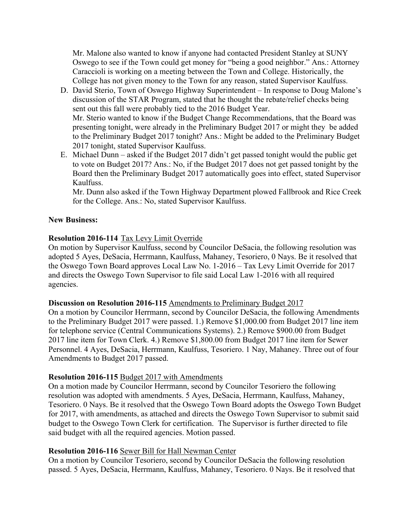Mr. Malone also wanted to know if anyone had contacted President Stanley at SUNY Oswego to see if the Town could get money for "being a good neighbor." Ans.: Attorney Caraccioli is working on a meeting between the Town and College. Historically, the College has not given money to the Town for any reason, stated Supervisor Kaulfuss.

- D. David Sterio, Town of Oswego Highway Superintendent In response to Doug Malone's discussion of the STAR Program, stated that he thought the rebate/relief checks being sent out this fall were probably tied to the 2016 Budget Year. Mr. Sterio wanted to know if the Budget Change Recommendations, that the Board was presenting tonight, were already in the Preliminary Budget 2017 or might they be added to the Preliminary Budget 2017 tonight? Ans.: Might be added to the Preliminary Budget 2017 tonight, stated Supervisor Kaulfuss.
- E. Michael Dunn asked if the Budget 2017 didn't get passed tonight would the public get to vote on Budget 2017? Ans.: No, if the Budget 2017 does not get passed tonight by the Board then the Preliminary Budget 2017 automatically goes into effect, stated Supervisor Kaulfuss.

Mr. Dunn also asked if the Town Highway Department plowed Fallbrook and Rice Creek for the College. Ans.: No, stated Supervisor Kaulfuss.

# **New Business:**

# **Resolution 2016-114** Tax Levy Limit Override

On motion by Supervisor Kaulfuss, second by Councilor DeSacia, the following resolution was adopted 5 Ayes, DeSacia, Herrmann, Kaulfuss, Mahaney, Tesoriero, 0 Nays. Be it resolved that the Oswego Town Board approves Local Law No. 1-2016 – Tax Levy Limit Override for 2017 and directs the Oswego Town Supervisor to file said Local Law 1-2016 with all required agencies.

# **Discussion on Resolution 2016-115** Amendments to Preliminary Budget 2017

On a motion by Councilor Herrmann, second by Councilor DeSacia, the following Amendments to the Preliminary Budget 2017 were passed. 1.) Remove \$1,000.00 from Budget 2017 line item for telephone service (Central Communications Systems). 2.) Remove \$900.00 from Budget 2017 line item for Town Clerk. 4.) Remove \$1,800.00 from Budget 2017 line item for Sewer Personnel. 4 Ayes, DeSacia, Herrmann, Kaulfuss, Tesoriero. 1 Nay, Mahaney. Three out of four Amendments to Budget 2017 passed.

# **Resolution 2016-115** Budget 2017 with Amendments

On a motion made by Councilor Herrmann, second by Councilor Tesoriero the following resolution was adopted with amendments. 5 Ayes, DeSacia, Herrmann, Kaulfuss, Mahaney, Tesoriero. 0 Nays. Be it resolved that the Oswego Town Board adopts the Oswego Town Budget for 2017, with amendments, as attached and directs the Oswego Town Supervisor to submit said budget to the Oswego Town Clerk for certification. The Supervisor is further directed to file said budget with all the required agencies. Motion passed.

# **Resolution 2016-116** Sewer Bill for Hall Newman Center

On a motion by Councilor Tesoriero, second by Councilor DeSacia the following resolution passed. 5 Ayes, DeSacia, Herrmann, Kaulfuss, Mahaney, Tesoriero. 0 Nays. Be it resolved that